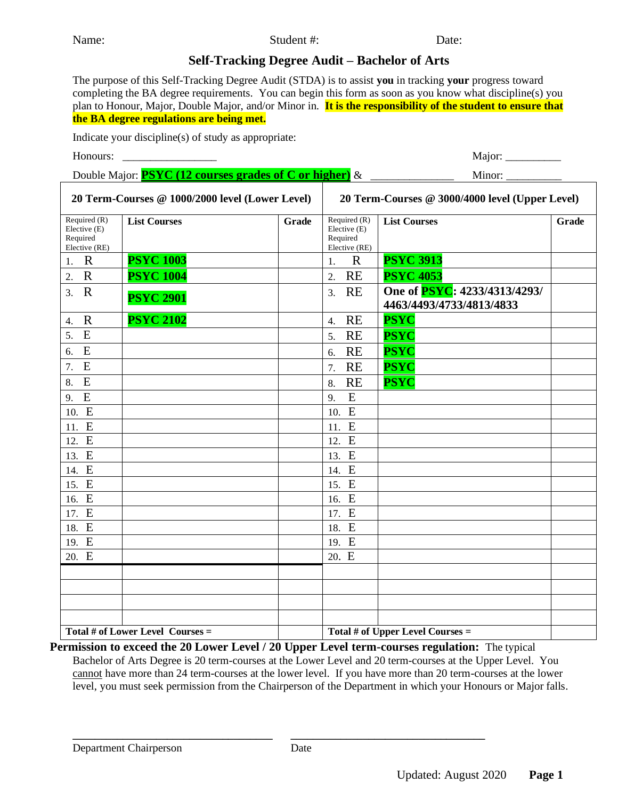Name: Student #: Date: Date:

## **Self-Tracking Degree Audit – Bachelor of Arts**

The purpose of this Self-Tracking Degree Audit (STDA) is to assist **you** in tracking **your** progress toward completing the BA degree requirements. You can begin this form as soon as you know what discipline(s) you plan to Honour, Major, Double Major, and/or Minor in. **It is the responsibility of the student to ensure that the BA degree regulations are being met.** 

Indicate your discipline(s) of study as appropriate:

Honours: \_\_\_\_\_\_\_\_\_\_\_\_\_\_\_\_\_ Major: \_\_\_\_\_\_\_\_\_\_ Double Major: **PSYC (12 courses grades of C or higher)** & \_\_\_\_\_\_\_\_\_\_\_\_\_\_\_\_\_\_\_\_\_\_\_ Minor: **20 Term-Courses @ 1000/2000 level (Lower Level) 20 Term-Courses @ 3000/4000 level (Upper Level)** Required (R) Elective (E) Required Elective (RE) **List Courses Grade** Required (R) Elective (E) Required Elective (RE) List Courses **Grade** 1. R **PSYC 1003** 1. R **PSYC 3913** 2. R **PSYC 1004** 2. RE **PSYC 4053** 3. <sup>R</sup> **PSYC 2901** 3. RE **One of PSYC: 4233/4313/4293/ 4463/4493/4733/4813/4833** 4. R **PSYC 2102** 4. RE **PSYC**  5. E **PSYC** 5. RE **PSYC** 6. E 6. RE **PSYC** 7. E 7. RE **PSYC** 8. E 8. RE **PSYC** 9. E | 9. E 10. E 10. E 11. E 11. E 12. E 12. E 13. E 13. E 14. E 14. E 15. E 15. E 16. E 16. E 17. E 17. E 18. E 18. E 19. E 19. E 20. E 20. E Total # of Lower Level Courses = Total # of Upper Level Courses =

**Permission to exceed the 20 Lower Level / 20 Upper Level term-courses regulation:** The typical Bachelor of Arts Degree is 20 term-courses at the Lower Level and 20 term-courses at the Upper Level. You cannot have more than 24 term-courses at the lower level. If you have more than 20 term-courses at the lower level, you must seek permission from the Chairperson of the Department in which your Honours or Major falls.